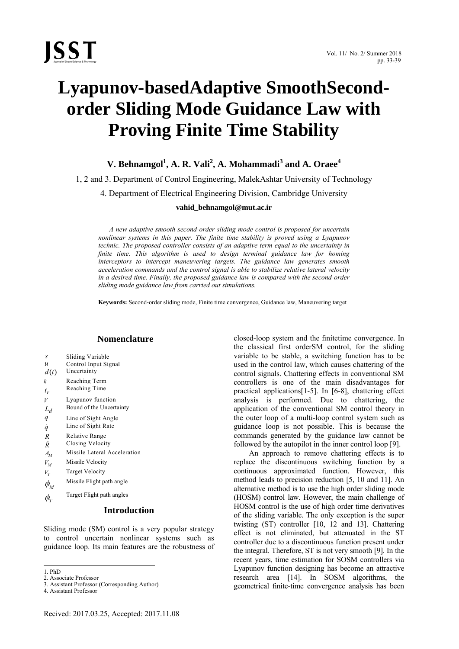

# **Lyapunov-basedAdaptive SmoothSecondorder Sliding Mode Guidance Law with Proving Finite Time Stability**

 $V$ . Behnamgol<sup>1</sup>, A. R. Vali<sup>2</sup>, A. Mohammadi<sup>3</sup> and A. Oraee<sup>4</sup>

1, 2 and 3. Department of Control Engineering, MalekAshtar University of Technology

4. Department of Electrical Engineering Division, Cambridge University

#### **vahid\_behnamgol@mut.ac.ir**

*A new adaptive smooth second-order sliding mode control is proposed for uncertain nonlinear systems in this paper. The finite time stability is proved using a Lyapunov technic. The proposed controller consists of an adaptive term equal to the uncertainty in*  finite time. This algorithm is used to design terminal guidance law for homing *interceptors to intercept maneuvering targets. The guidance law generates smooth acceleration commands and the control signal is able to stabilize relative lateral velocity in a desired time. Finally, the proposed guidance law is compared with the second-order sliding mode guidance law from carried out simulations.* 

**Keywords:** Second-order sliding mode, Finite time convergence, Guidance law, Maneuvering target

## **Nomenclature**

| S                                                       | Sliding Variable             |
|---------------------------------------------------------|------------------------------|
| $\boldsymbol{u}$                                        | Control Input Signal         |
| d(t)                                                    | Uncertainty                  |
| k                                                       | Reaching Term                |
| $t_r$                                                   | Reaching Time                |
| V                                                       | Lyapunov function            |
| $L_d$                                                   | Bound of the Uncertainty     |
| q                                                       | Line of Sight Angle          |
| $\dot{q}$                                               | Line of Sight Rate           |
| $\overline{R}$                                          | Relative Range               |
| Ř                                                       | Closing Velocity             |
| $A_M$                                                   | Missile Lateral Acceleration |
| $V_M$                                                   | Missile Velocity             |
| $V_T$                                                   | <b>Target Velocity</b>       |
|                                                         | Missile Flight path angle    |
| $\phi_{\scriptscriptstyle T}^{\scriptscriptstyle \top}$ | Target Flight path angles    |
|                                                         | т<br>$\sim$ $\sim$           |

### **Introduction**

Sliding mode (SM) control is a very popular strategy to control uncertain nonlinear systems such as guidance loop. Its main features are the robustness of

closed-loop system and the finitetime convergence. In the classical first orderSM control, for the sliding variable to be stable, a switching function has to be used in the control law, which causes chattering of the control signals. Chattering effects in conventional SM controllers is one of the main disadvantages for practical applications[1-5]. In [6-8], chattering effect analysis is performed. Due to chattering, the application of the conventional SM control theory in the outer loop of a multi-loop control system such as guidance loop is not possible. This is because the commands generated by the guidance law cannot be followed by the autopilot in the inner control loop [9].

An approach to remove chattering effects is to replace the discontinuous switching function by a continuous approximated function. However, this method leads to precision reduction [5, 10 and 11]. An alternative method is to use the high order sliding mode (HOSM) control law. However, the main challenge of HOSM control is the use of high order time derivatives of the sliding variable. The only exception is the super twisting (ST) controller [10, 12 and 13]. Chattering effect is not eliminated, but attenuated in the ST controller due to a discontinuous function present under the integral. Therefore, ST is not very smooth [9]. In the recent years, time estimation for SOSM controllers via Lyapunov function designing has become an attractive research area [14]. In SOSM algorithms, the geometrical finite-time convergence analysis has been

 $\overline{a}$ 1. PhD

<sup>2.</sup> Associate Professor

<sup>3.</sup> Assistant Professor (Corresponding Author)

<sup>4.</sup> Assistant Professor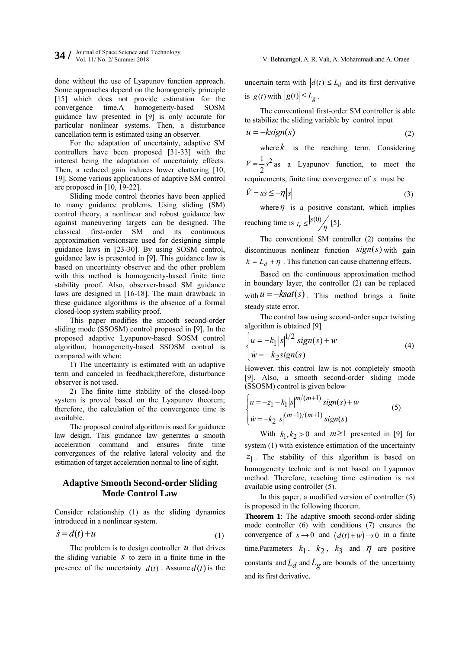done without the use of Lyapunov function approach. Some approaches depend on the homogeneity principle [15] which does not provide estimation for the convergence time.A homogeneity-based SOSM guidance law presented in [9] is only accurate for particular nonlinear systems. Then, a disturbance cancellation term is estimated using an observer.

For the adaptation of uncertainty, adaptive SM controllers have been proposed [31-33] with the interest being the adaptation of uncertainty effects. Then, a reduced gain induces lower chattering [10, 19]. Some various applications of adaptive SM control are proposed in [10, 19-22].

Sliding mode control theories have been applied to many guidance problems. Using sliding (SM) control theory, a nonlinear and robust guidance law against maneuvering targets can be designed. The classical first-order SM and its continuous approximation versionsare used for designing simple guidance laws in [23-30]. By using SOSM control, guidance law is presented in [9]. This guidance law is based on uncertainty observer and the other problem with this method is homogeneity-based finite time stability proof. Also, observer-based SM guidance laws are designed in [16-18]. The main drawback in these guidance algorithms is the absence of a formal closed-loop system stability proof.

This paper modifies the smooth second-order sliding mode (SSOSM) control proposed in [9]. In the proposed adaptive Lyapunov-based SOSM control algorithm, homogeneity-based SSOSM control is compared with when:

1) The uncertainty is estimated with an adaptive term and canceled in feedback;therefore, disturbance observer is not used.

2) The finite time stability of the closed-loop system is proved based on the Lyapunov theorem; therefore, the calculation of the convergence time is available.

The proposed control algorithm is used for guidance law design. This guidance law generates a smooth acceleration command and ensures finite time convergences of the relative lateral velocity and the estimation of target acceleration normal to line of sight.

# **Adaptive Smooth Second-order Sliding Mode Control Law**

Consider relationship (1) as the sliding dynamics introduced in a nonlinear system.

$$
\dot{s} = d(t) + u \tag{1}
$$

The problem is to design controller  $u$  that drives the sliding variable *s* to zero in a finite time in the presence of the uncertainty  $d(t)$ . Assume  $d(t)$  is the

uncertain term with  $|d(t)| \leq L_d$  and its first derivative is  $g(t)$  with  $|g(t)| \leq L_g$ .

The conventional first-order SM controller is able to stabilize the sliding variable by control input

$$
u = -ksign(s) \tag{2}
$$

where  $k$  is the reaching term. Considering  $1\overline{2}$  $V = \frac{1}{2}s^2$  as a Lyapunov function, to meet the requirements, finite time convergence of *s* must be

$$
\dot{V} = s\dot{s} \le -\eta |s| \tag{3}
$$

where  $\eta$  is a positive constant, which implies reaching time is  $t_r \leq \frac{|s(0)|}{\eta}$  [5].

The conventional SM controller (2) contains the discontinuous nonlinear function  $sign(s)$  with gain  $k = L_d + \eta$ . This function can cause chattering effects.

Based on the continuous approximation method in boundary layer, the controller (2) can be replaced with  $u = -k\text{s}at(s)$ . This method brings a finite steady state error.

The control law using second-order super twisting algorithm is obtained [9]

$$
\begin{cases} u = -k_1 |s|^{1/2} sign(s) + w \\ \dot{w} = -k_2 sign(s) \end{cases}
$$
 (4)

However, this control law is not completely smooth [9]. Also, a smooth second-order sliding mode (SSOSM) control is given below

$$
\begin{cases}\n u = -z_1 - k_1 |s|^{m/(m+1)} sign(s) + w \\
 \dot{w} = -k_2 |s|^{(m-1)/(m+1)} sign(s)\n\end{cases}
$$
\n(5)

With  $k_1, k_2 > 0$  and  $m \ge 1$  presented in [9] for system (1) with existence estimation of the uncertainty 1*z* . The stability of this algorithm is based on homogeneity technic and is not based on Lyapunov method. Therefore, reaching time estimation is not available using controller (5).

In this paper, a modified version of controller (5) is proposed in the following theorem.

**Theorem 1**: The adaptive smooth second-order sliding mode controller (6) with conditions (7) ensures the convergence of  $s \to 0$  and  $(d(t) + w) \to 0$  in a finite time.Parameters  $k_1$ ,  $k_2$ ,  $k_3$  and  $\eta$  are positive constants and  $L_d$  and  $L_g$  are bounds of the uncertainty and its first derivative.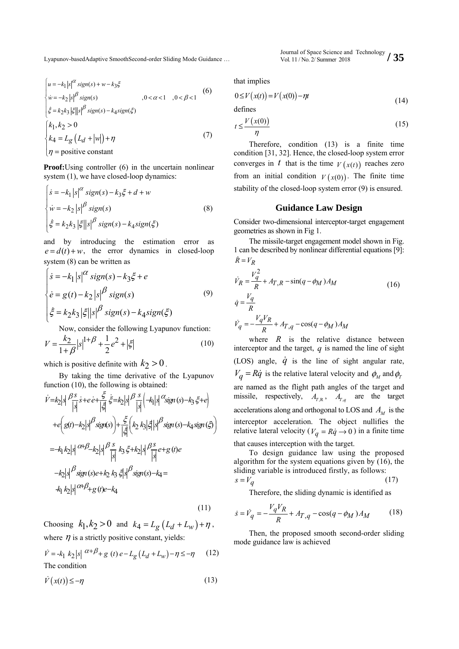$$
\begin{cases}\n u = -k_1 |s|^{\alpha} \operatorname{sign}(s) + w - k_3 \xi \\
 w = -k_2 |s|^{\beta} \operatorname{sign}(s) & , 0 < \alpha < 1 , 0 < \beta < 1 \\
 \xi = k_2 k_3 |\xi| |s|^{\beta} \operatorname{sign}(s) - k_4 \operatorname{sign}(\xi)\n\end{cases}
$$
\n
$$
\begin{cases}\n k_1, k_2 > 0 \\
 k_4 = L_g (L_d + |w|) + \eta \\
 \eta = \text{positive constant}\n\end{cases}
$$
\n(7)

**Proof:**Using controller (6) in the uncertain nonlinear system (1), we have closed-loop dynamics:

$$
\begin{cases}\n\dot{s} = -k_1 |s|^{\alpha} \operatorname{sign}(s) - k_3 \xi + d + w \\
\dot{w} = -k_2 |s|^{\beta} \operatorname{sign}(s) \\
\dot{\xi} = k_2 k_3 |\xi| |s|^{\beta} \operatorname{sign}(s) - k_4 \operatorname{sign}(\xi)\n\end{cases}
$$
\n(8)

and by introducing the estimation error as  $e = d(t) + w$ , the error dynamics in closed-loop system (8) can be written as

$$
\begin{cases}\n\dot{s} = -k_1 |s|^{\alpha} \operatorname{sign}(s) - k_3 \xi + e \\
\dot{e} = g(t) - k_2 |s|^{\beta} \operatorname{sign}(s) \\
\dot{\xi} = k_2 k_3 |\xi| |s|^{\beta} \operatorname{sign}(s) - k_4 \operatorname{sign}(\xi)\n\end{cases} (9)
$$

Now, consider the following Lyapunov function:

$$
V = \frac{k_2}{1+\beta} |s|^{1+\beta} + \frac{1}{2} e^2 + |\xi|
$$
 (10)

which is positive definite with  $k_2 > 0$ .

By taking the time derivative of the Lyapunov function (10), the following is obtained:

$$
\dot{V} = k_2 |s| \frac{\beta s}{|s|} \dot{s} + e \dot{e} + \frac{\xi}{|\xi|} \dot{\xi} = k_2 |s| \frac{\beta s}{|s|} \left( -k_1 |s| \frac{\alpha_{sign(s)} - k_3 \xi + e}{(s_1 + s_2 \xi + e)} \right)
$$

$$
+ e\left( g(t) - k_2 |s| \frac{\beta s}{|s_1 \xi + e} \right) + \frac{\xi}{|\xi|} \left( k_2 k_3 |s| \frac{\beta s}{|s_1 \xi + e} \right) (s) - k_4 sign(\xi)
$$

$$
= -k_1 k_2 |s| \frac{\alpha + \beta}{|s_1 \xi + e} \left( k_2 k_3 |s| \frac{\beta s}{|s_1 \xi + e} \right) (s) - k_4 =
$$

$$
-k_1 k_2 |s| \frac{\alpha + \beta}{\alpha + \beta + e} \left( k_2 - k_4 \right) (11)
$$

Choosing  $k_1, k_2 > 0$  and  $k_4 = L_g(L_d + L_w) + \eta$ , where  $\eta$  is a strictly positive constant, yields:

$$
\dot{V} = -k_1 k_2 |s|^{(\alpha + \beta)} + g(t) e - L_g(L_d + L_w) - \eta \le -\eta \tag{12}
$$
  
The condition

$$
\dot{V}(x(t)) \le -\eta \tag{13}
$$

that implies

$$
0 \le V\big(x(t)\big) = V\big(x(0)\big) - \eta t \tag{14}
$$

defines

$$
t \le \frac{V(x(0))}{\eta} \tag{15}
$$

Therefore, condition (13) is a finite time condition [31, 32]. Hence, the closed-loop system error converges in *t* that is the time  $V(x(t))$  reaches zero from an initial condition  $V(x(0))$ . The finite time stability of the closed-loop system error (9) is ensured.

#### **Guidance Law Design**

Consider two-dimensional interceptor-target engagement geometries as shown in Fig 1.

The missile-target engagement model shown in Fig. 1 can be described by nonlinear differential equations [9]:  $\dot{R} = V_R$ 

$$
\dot{V}_R = \frac{V_q^2}{R} + A_{T,R} - \sin(q - \phi_M) A_M
$$
\n
$$
\dot{q} = \frac{V_q}{R}
$$
\n
$$
\dot{V}_q = -\frac{V_q V_R}{R} + A_{T,q} - \cos(q - \phi_M) A_M
$$
\n(16)

where  $R$  is the relative distance between interceptor and the target, *q* is named the line of sight (LOS) angle,  $\dot{q}$  is the line of sight angular rate,  $V_q = R\dot{q}$  is the relative lateral velocity and  $\phi_M$  and  $\phi_T$ are named as the flight path angles of the target and missile, respectively,  $A_{T,R}$ ,  $A_{T,q}$  are the target accelerations along and orthogonal to LOS and  $A_M$  is the interceptor acceleration. The object nullifies the relative lateral velocity ( $V_q = R\dot{q} \rightarrow 0$ ) in a finite time that causes interception with the target.

To design guidance law using the proposed algorithm for the system equations given by (16), the sliding variable is introduced firstly, as follows:

$$
s = V_q \tag{17}
$$

Therefore, the sliding dynamic is identified as

$$
\dot{s} = \dot{V}_q = -\frac{V_q V_R}{R} + A_{T,q} - \cos(q - \phi_M) A_M \tag{18}
$$

Then, the proposed smooth second-order sliding mode guidance law is achieved

Journal of Space Science and Technology Lyapunov-basedAdaptive SmoothSecond-order Sliding Mode Guidance … Vol. 11 / No. 2/ Summer 2018 **/ 35**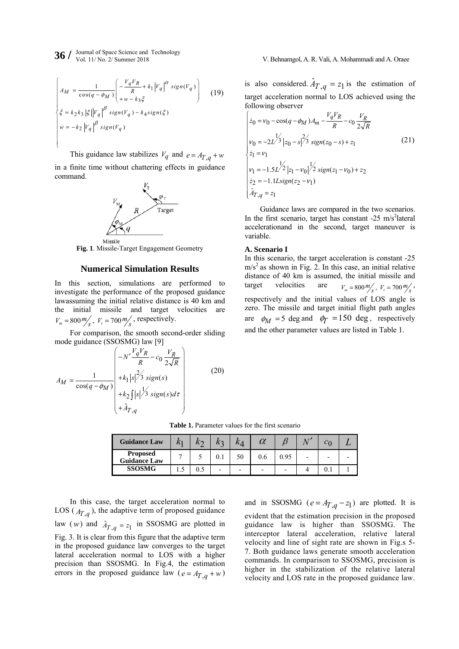**36 /** Journal of Space Science and Technology *V. Behnamgol, A. R. Vali, A. Mohammadi and A. Oraee V. Behnamgol, A. R. Vali, A. Mohammadi and A. Oraee* 

$$
\begin{cases}\nA_M = \frac{1}{\cos(q - \phi_M)} \left( -\frac{V_q V_R}{R} + k_1 |V_q|^{\alpha} \operatorname{sign}(V_q) \right) \\
\dot{\xi} = k_2 k_3 |\xi| |V_q|^{\beta} \operatorname{sign}(V_q) - k_4 \operatorname{sign}(\xi) \\
\dot{w} = -k_2 |V_q|^{\beta} \operatorname{sign}(V_q)\n\end{cases} (19)
$$

This guidance law stabilizes  $V_q$  and  $e = A_{T,q} + w$ in a finite time without chattering effects in guidance command.



**Fig. 1**. Missile-Target Engagement Geometry

#### **Numerical Simulation Results**

In this section, simulations are performed to investigate the performance of the proposed guidance lawassuming the initial relative distance is 40 km and the initial missile and target velocities are  $V_m = 800 \frac{m}{s}$ ,  $V_t = 700 \frac{m}{s}$ , respectively.

For comparison, the smooth second-order sliding mode guidance (SSOSMG) law [9]

$$
A_M = \frac{1}{\cos(q - \phi_M)} \begin{pmatrix} -N' \frac{V_q V_R}{R} - c_0 \frac{V_R}{2\sqrt{R}} \\ + k_1 |s|^2 / 3 \operatorname{sign}(s) \\ + k_2 \int |s|^{\frac{1}{3}} \operatorname{sign}(s) d\tau \\ + \hat{A}_{T,q} \end{pmatrix}
$$
(20)

is also considered.  $\hat{A}_T q = z_1$  is the estimation of target acceleration normal to LOS achieved using the following observer

$$
\begin{cases}\n\dot{z}_0 = v_0 - \cos(q - \phi_M)A_m - \frac{V_q V_R}{R} - c_0 \frac{V_R}{2\sqrt{R}} \\
v_0 = -2L/3 |z_0 - s|^2 / 3 \operatorname{sign}(z_0 - s) + z_1 \\
\dot{z}_1 = v_1 \\
v_1 = -1.5L/2 |z_1 - v_0| / 2 \operatorname{sign}(z_1 - v_0) + z_2 \\
\dot{z}_2 = -1.1L \operatorname{sign}(z_2 - v_1) \\
\hat{A}_{T,q} = z_1\n\end{cases}
$$
\n(21)

Guidance laws are compared in the two scenarios. In the first scenario, target has constant  $-25$  m/s<sup>2</sup> lateral accelerationand in the second, target maneuver is variable.

#### **A. Scenario I**

In this scenario, the target acceleration is constant -25  $m/s<sup>2</sup>$  as shown in Fig. 2. In this case, an initial relative distance of 40 km is assumed, the initial missile and target velocities are  $V_m = 800 \frac{m}{s}$ ,  $V_t = 700 \frac{m}{s}$ , respectively and the initial values of LOS angle is zero. The missile and target initial flight path angles are  $\phi_M = 5$  deg and  $\phi_T = 150$  deg, respectively and the other parameter values are listed in Table 1.

**Table 1.** Parameter values for the first scenario

| <b>Guidance Law</b>                    |   |                          |   | $\alpha$                 | $\mathbf{X}$             | C۱                       |  |
|----------------------------------------|---|--------------------------|---|--------------------------|--------------------------|--------------------------|--|
| <b>Proposed</b><br><b>Guidance Law</b> |   | 0.1                      |   | U.6                      | $\overline{\phantom{0}}$ | $\overline{\phantom{0}}$ |  |
| <b>SSOSMG</b>                          | ن | $\overline{\phantom{0}}$ | - | $\overline{\phantom{0}}$ |                          |                          |  |

In this case, the target acceleration normal to LOS ( $A_{T,a}$ ), the adaptive term of proposed guidance law (*w*) and  $\hat{A}_{T,q} = z_1$  in SSOSMG are plotted in Fig. 3. It is clear from this figure that the adaptive term in the proposed guidance law converges to the target lateral acceleration normal to LOS with a higher precision than SSOSMG. In Fig.4, the estimation errors in the proposed guidance law ( $e = A_{T,q} + w$ )

and in SSOSMG ( $e = A_{T,q} - z_1$ ) are plotted. It is evident that the estimation precision in the proposed guidance law is higher than SSOSMG. The interceptor lateral acceleration, relative lateral velocity and line of sight rate are shown in Fig.s 5- 7. Both guidance laws generate smooth acceleration commands. In comparison to SSOSMG, precision is higher in the stabilization of the relative lateral velocity and LOS rate in the proposed guidance law.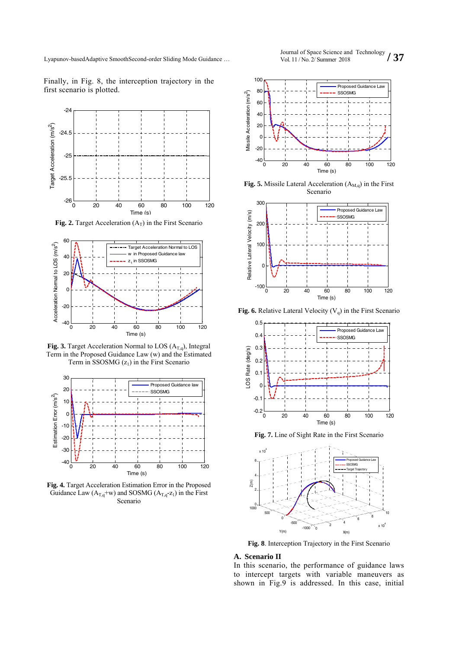Finally, in Fig. 8, the interception trajectory in the first scenario is plotted.



**Fig. 2.** Target Acceleration  $(A_T)$  in the First Scenario



**Fig. 3.** Target Acceleration Normal to LOS  $(A_{T,q})$ , Integral Term in the Proposed Guidance Law (w) and the Estimated Term in SSOSMG  $(z_1)$  in the First Scenario



**Fig. 4.** Target Acceleration Estimation Error in the Proposed Guidance Law  $(A_{T,q}$ +w) and SOSMG  $(A_{T,q}$ -z<sub>1</sub>) in the First Scenario





Fig. 5. Missile Lateral Acceleration (A<sub>M,q</sub>) in the First Scenario



**Fig. 6.** Relative Lateral Velocity  $(V_q)$  in the First Scenario



**Fig. 7.** Line of Sight Rate in the First Scenario



**Fig. 8**. Interception Trajectory in the First Scenario

#### **A. Scenario II**

In this scenario, the performance of guidance laws to intercept targets with variable maneuvers as shown in Fig.9 is addressed. In this case, initial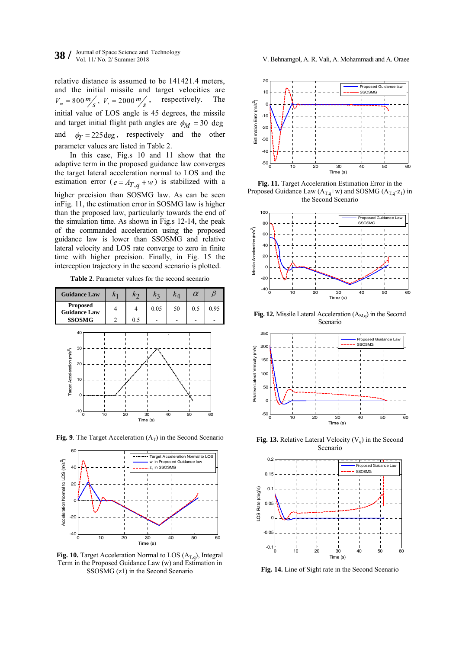relative distance is assumed to be 141421.4 meters, and the initial missile and target velocities are  $V_m = 800 \frac{m}{s}$ ,  $V_t = 2000 \frac{m}{s}$ , respectively. The initial value of LOS angle is 45 degrees, the missile and target initial flight path angles are  $\phi_M = 30$  deg and  $\phi_T = 225 \text{ deg}$ , respectively and the other parameter values are listed in Table 2.

In this case, Fig.s 10 and 11 show that the adaptive term in the proposed guidance law converges the target lateral acceleration normal to LOS and the estimation error ( $e = A_{T,q} + w$ ) is stabilized with a higher precision than SOSMG law. As can be seen inFig. 11, the estimation error in SOSMG law is higher than the proposed law, particularly towards the end of the simulation time. As shown in Fig.s 12-14, the peak of the commanded acceleration using the proposed guidance law is lower than SSOSMG and relative lateral velocity and LOS rate converge to zero in finite time with higher precision. Finally, in Fig. 15 the interception trajectory in the second scenario is plotted.

**Table 2**. Parameter values for the second scenario



**Fig. 9**. The Target Acceleration  $(A_T)$  in the Second Scenario



**Fig. 10.** Target Acceleration Normal to LOS  $(A_{T,q})$ , Integral Term in the Proposed Guidance Law (w) and Estimation in SSOSMG (z1) in the Second Scenario



**Fig. 11.** Target Acceleration Estimation Error in the Proposed Guidance Law  $(A_{T,q}+w)$  and SOSMG  $(A_{T,q}-z_1)$  in the Second Scenario



Fig. 12. Missile Lateral Acceleration (A<sub>M,q</sub>) in the Second Scenario



**Fig. 13.** Relative Lateral Velocity  $(V_q)$  in the Second Scenario



**Fig. 14.** Line of Sight rate in the Second Scenario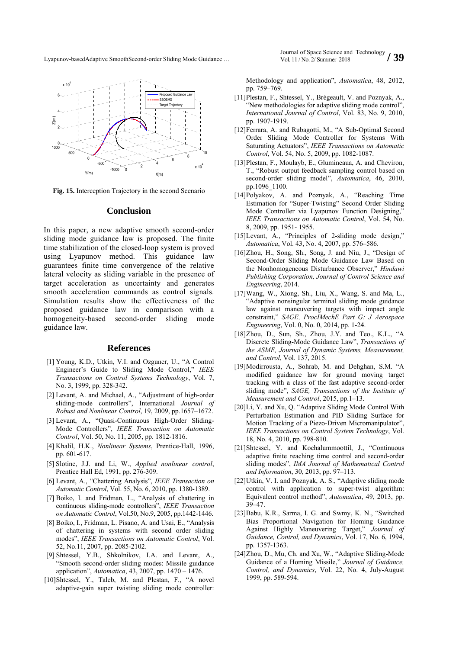

**Fig. 15.** Interception Trajectory in the second Scenario

#### **Conclusion**

In this paper, a new adaptive smooth second-order sliding mode guidance law is proposed. The finite time stabilization of the closed-loop system is proved using Lyapunov method. This guidance law guarantees finite time convergence of the relative lateral velocity as sliding variable in the presence of target acceleration as uncertainty and generates smooth acceleration commands as control signals. Simulation results show the effectiveness of the proposed guidance law in comparison with a homogeneity-based second-order sliding mode guidance law.

#### **References**

- [1] Young, K.D., Utkin, V.I. and Ozguner, U., "A Control Engineer's Guide to Sliding Mode Control," *IEEE Transactions on Control Systems Technology*, Vol. 7, No. 3, 1999, pp. 328-342.
- [2] Levant, A. and Michael, A., "Adjustment of high-order sliding-mode controllers", International *Journal of Robust and Nonlinear Control*, 19, 2009, pp.1657–1672.
- [3] Levant, A., "Quasi-Continuous High-Order Sliding-Mode Controllers", *IEEE Transaction on Automatic Control*, Vol. 50, No. 11, 2005, pp. 1812-1816.
- [4] Khalil, H.K., *Nonlinear Systems*, Prentice-Hall, 1996, pp. 601-617.
- [5] Slotine, J.J. and Li, W., *Applied nonlinear control*, Prentice Hall Ed, 1991, pp. 276-309.
- [6] Levant, A., "Chattering Analysis", *IEEE Transaction on Automatic Control*, Vol. 55, No. 6, 2010, pp. 1380-1389.
- [7] Boiko, I. and Fridman, L., "Analysis of chattering in continuous sliding-mode controllers", *IEEE Transaction on Automatic Control*, Vol.50, No.9, 2005, pp.1442-1446.
- [8] Boiko, I., Fridman, L. Pisano, A. and Usai, E., "Analysis of chattering in systems with second order sliding modes", *IEEE Transactions on Automatic Control*, Vol. 52, No.11, 2007, pp. 2085-2102.
- [9] Shtessel, Y.B., Shkolnikov, I.A. and Levant, A., "Smooth second-order sliding modes: Missile guidance application", *Automatica*, 43, 2007, pp. 1470 – 1476.
- [10]Shtessel, Y., Taleb, M. and Plestan, F., "A novel adaptive-gain super twisting sliding mode controller:

Methodology and application", *Automatica*, 48, 2012, pp. 759–769.

- [11]Plestan, F., Shtessel, Y., Brégeault, V. and Poznyak, A., "New methodologies for adaptive sliding mode control", *International Journal of Control*, Vol. 83, No. 9, 2010, pp. 1907-1919.
- [12]Ferrara, A. and Rubagotti, M., "A Sub-Optimal Second Order Sliding Mode Controller for Systems With Saturating Actuators", *IEEE Transactions on Automatic Control*, Vol. 54, No. 5, 2009, pp. 1082-1087.
- [13]Plestan, F., Moulayb, E., Glumineaua, A. and Cheviron, T., "Robust output feedback sampling control based on second-order sliding model", *Automatica*, 46, 2010, pp.1096\_1100.
- [14]Polyakov, A. and Poznyak, A., "Reaching Time Estimation for "Super-Twisting" Second Order Sliding Mode Controller via Lyapunov Function Designing," *IEEE Transactions on Automatic Control*, Vol. 54, No. 8, 2009, pp. 1951- 1955.
- [15]Levant, A., "Principles of 2-sliding mode design," *Automatica*, Vol. 43, No. 4, 2007, pp. 576–586.
- [16]Zhou, H., Song, Sh., Song, J. and Niu, J., "Design of Second-Order Sliding Mode Guidance Law Based on the Nonhomogeneous Disturbance Observer," *Hindawi Publishing Corporation, Journal of Control Science and Engineering*, 2014.
- [17]Wang, W., Xiong, Sh., Liu, X., Wang, S. and Ma, L., "Adaptive nonsingular terminal sliding mode guidance law against maneuvering targets with impact angle constraint," *SAGE, ProcIMechE Part G: J Aerospace Engineering*, Vol. 0, No. 0, 2014, pp. 1-24.
- [18]Zhou, D., Sun, Sh., Zhou, J.Y. and Teo., K.L., "A Discrete Sliding-Mode Guidance Law", *Transactions of the ASME, Journal of Dynamic Systems, Measurement, and Control*, Vol. 137, 2015.
- [19]Modirrousta, A., Sohrab, M. and Dehghan, S.M. "A modified guidance law for ground moving target tracking with a class of the fast adaptive second-order sliding mode", *SAGE, Transactions of the Institute of Measurement and Control*, 2015, pp.1–13.
- [20]Li, Y. and Xu, Q. "Adaptive Sliding Mode Control With Perturbation Estimation and PID Sliding Surface for Motion Tracking of a Piezo-Driven Micromanipulator", *IEEE Transactions on Control System Technology*, Vol. 18, No. 4, 2010, pp. 798-810.
- [21]Shtessel, Y. and Kochalummoottil, J., "Continuous adaptive finite reaching time control and second-order sliding modes", *IMA Journal of Mathematical Control and Information*, 30, 2013, pp. 97–113.
- [22]Utkin, V. I. and Poznyak, A. S., "Adaptive sliding mode control with application to super-twist algorithm: Equivalent control method", *Automatica*, 49, 2013, pp. 39–47.
- [23]Babu, K.R., Sarma, I. G. and Swmy, K. N., "Switched Bias Proportional Navigation for Homing Guidance Against Highly Maneuvering Target," *Journal of Guidance, Control, and Dynamics*, Vol. 17, No. 6, 1994, pp. 1357-1363.
- [24]Zhou, D., Mu, Ch. and Xu, W., "Adaptive Sliding-Mode Guidance of a Homing Missile," *Journal of Guidance, Control, and Dynamics*, Vol. 22, No. 4, July-August 1999, pp. 589-594.